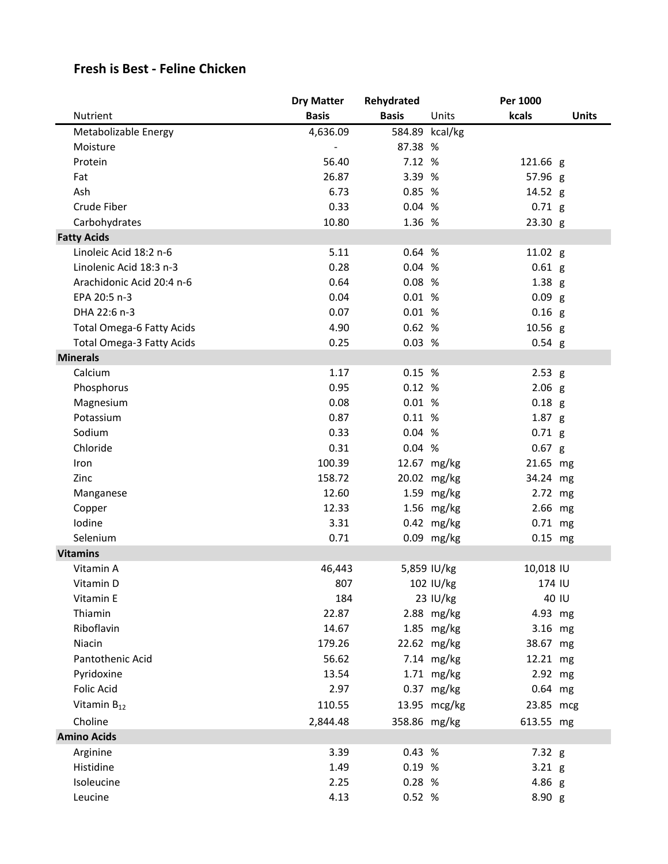## **Fresh is Best - Feline Chicken**

|                                  | <b>Dry Matter</b> | Rehydrated   |                | Per 1000          |              |
|----------------------------------|-------------------|--------------|----------------|-------------------|--------------|
| Nutrient                         | <b>Basis</b>      | <b>Basis</b> | Units          | kcals             | <b>Units</b> |
| Metabolizable Energy             | 4,636.09          |              | 584.89 kcal/kg |                   |              |
| Moisture                         |                   | 87.38 %      |                |                   |              |
| Protein                          | 56.40             | 7.12 %       |                | 121.66 g          |              |
| Fat                              | 26.87             | 3.39 %       |                | 57.96 g           |              |
| Ash                              | 6.73              | 0.85 %       |                | 14.52 g           |              |
| Crude Fiber                      | 0.33              | 0.04%        |                | $0.71$ g          |              |
| Carbohydrates                    | 10.80             | 1.36 %       |                | 23.30 g           |              |
| <b>Fatty Acids</b>               |                   |              |                |                   |              |
| Linoleic Acid 18:2 n-6           | 5.11              | 0.64 %       |                | 11.02 g           |              |
| Linolenic Acid 18:3 n-3          | 0.28              | 0.04%        |                | $0.61$ g          |              |
| Arachidonic Acid 20:4 n-6        | 0.64              | 0.08%        |                | $1.38$ g          |              |
| EPA 20:5 n-3                     | 0.04              | 0.01%        |                | 0.09 <sub>g</sub> |              |
| DHA 22:6 n-3                     | 0.07              | 0.01%        |                | $0.16$ g          |              |
| <b>Total Omega-6 Fatty Acids</b> | 4.90              | 0.62%        |                | 10.56 g           |              |
| <b>Total Omega-3 Fatty Acids</b> | 0.25              | 0.03%        |                | $0.54$ g          |              |
| <b>Minerals</b>                  |                   |              |                |                   |              |
| Calcium                          | 1.17              | 0.15%        |                | 2.53 g            |              |
| Phosphorus                       | 0.95              | 0.12%        |                | $2.06$ g          |              |
| Magnesium                        | 0.08              | 0.01%        |                | $0.18$ g          |              |
| Potassium                        | 0.87              | 0.11%        |                | $1.87$ g          |              |
| Sodium                           | 0.33              | 0.04 %       |                | $0.71$ g          |              |
| Chloride                         | 0.31              | 0.04%        |                | 0.67 g            |              |
| Iron                             | 100.39            |              | 12.67 mg/kg    | 21.65 mg          |              |
| Zinc                             | 158.72            |              | 20.02 mg/kg    | 34.24 mg          |              |
| Manganese                        | 12.60             |              | 1.59 mg/kg     | 2.72 mg           |              |
| Copper                           | 12.33             |              | 1.56 mg/kg     | 2.66 mg           |              |
| Iodine                           | 3.31              |              | $0.42$ mg/kg   | $0.71$ mg         |              |
| Selenium                         | 0.71              |              | 0.09 mg/kg     | $0.15$ mg         |              |
| <b>Vitamins</b>                  |                   |              |                |                   |              |
| Vitamin A                        | 46,443            |              | 5,859 IU/kg    | 10,018 IU         |              |
| Vitamin D                        | 807               |              | 102 IU/kg      | 174 IU            |              |
| Vitamin E                        | 184               |              | 23 IU/kg       | 40 IU             |              |
| Thiamin                          | 22.87             |              | 2.88 mg/kg     | 4.93 mg           |              |
| Riboflavin                       | 14.67             |              | 1.85 mg/kg     | 3.16 mg           |              |
| Niacin                           | 179.26            |              | 22.62 mg/kg    | 38.67 mg          |              |
| Pantothenic Acid                 | 56.62             |              | 7.14 mg/kg     | 12.21 mg          |              |
| Pyridoxine                       | 13.54             |              | 1.71 mg/kg     | 2.92 mg           |              |
| <b>Folic Acid</b>                | 2.97              |              | $0.37$ mg/kg   | $0.64$ mg         |              |
| Vitamin $B_{12}$                 | 110.55            |              | 13.95 mcg/kg   | 23.85 mcg         |              |
| Choline                          | 2,844.48          | 358.86 mg/kg |                | 613.55 mg         |              |
| <b>Amino Acids</b>               |                   |              |                |                   |              |
| Arginine                         | 3.39              | 0.43 %       |                | 7.32 g            |              |
| Histidine                        | 1.49              | 0.19 %       |                | $3.21$ g          |              |
| Isoleucine                       | 2.25              | 0.28 %       |                | 4.86 g            |              |
| Leucine                          | 4.13              | 0.52 %       |                | 8.90 g            |              |